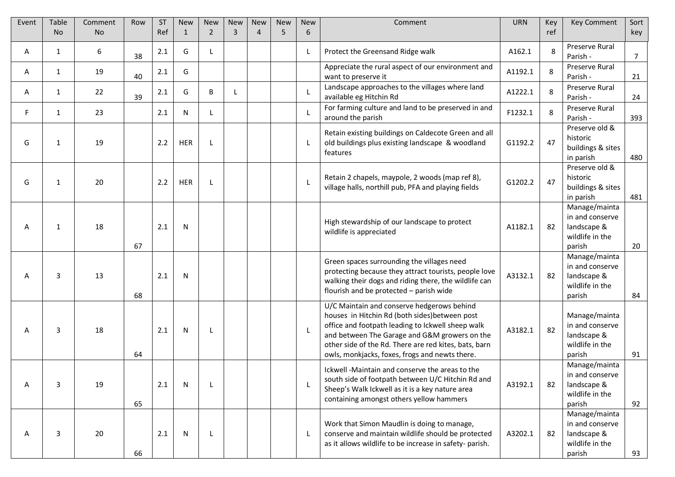| Event | <b>Table</b><br><b>No</b> | Comment<br><b>No</b> | Row | <b>ST</b><br>Ref | <b>New</b><br>$\mathbf{1}$ | <b>New</b><br>$\overline{2}$ | <b>New</b><br>3 | <b>New</b><br>4 | <b>New</b><br>5 | <b>New</b><br>6 | Comment                                                                                                                                                                                                                                                                                                       | <b>URN</b> | Key<br>ref | <b>Key Comment</b>                                                           | Sort<br>key    |
|-------|---------------------------|----------------------|-----|------------------|----------------------------|------------------------------|-----------------|-----------------|-----------------|-----------------|---------------------------------------------------------------------------------------------------------------------------------------------------------------------------------------------------------------------------------------------------------------------------------------------------------------|------------|------------|------------------------------------------------------------------------------|----------------|
| Α     | 1                         | 6                    | 38  | 2.1              | G                          | L                            |                 |                 |                 |                 | Protect the Greensand Ridge walk                                                                                                                                                                                                                                                                              | A162.1     | 8          | Preserve Rural<br>Parish -                                                   | $\overline{7}$ |
| Α     | 1                         | 19                   | 40  | 2.1              | G                          |                              |                 |                 |                 |                 | Appreciate the rural aspect of our environment and<br>want to preserve it                                                                                                                                                                                                                                     | A1192.1    | 8          | Preserve Rural<br>Parish -                                                   | 21             |
| Α     | 1                         | 22                   | 39  | 2.1              | G                          | B                            | L               |                 |                 |                 | Landscape approaches to the villages where land<br>available eg Hitchin Rd                                                                                                                                                                                                                                    | A1222.1    | 8          | Preserve Rural<br>Parish -                                                   | 24             |
| F.    | 1                         | 23                   |     | 2.1              | N                          | L                            |                 |                 |                 |                 | For farming culture and land to be preserved in and<br>around the parish                                                                                                                                                                                                                                      | F1232.1    | 8          | Preserve Rural<br>Parish -                                                   | 393            |
| G     | 1                         | 19                   |     | 2.2              | <b>HER</b>                 | L                            |                 |                 |                 |                 | Retain existing buildings on Caldecote Green and all<br>old buildings plus existing landscape & woodland<br>features                                                                                                                                                                                          | G1192.2    | 47         | Preserve old &<br>historic<br>buildings & sites<br>in parish                 | 480            |
| G     | 1                         | 20                   |     | 2.2              | <b>HER</b>                 | L                            |                 |                 |                 |                 | Retain 2 chapels, maypole, 2 woods (map ref 8),<br>village halls, northill pub, PFA and playing fields                                                                                                                                                                                                        | G1202.2    | 47         | Preserve old &<br>historic<br>buildings & sites<br>in parish                 | 481            |
| Α     | 1                         | 18                   | 67  | 2.1              | N                          |                              |                 |                 |                 |                 | High stewardship of our landscape to protect<br>wildlife is appreciated                                                                                                                                                                                                                                       | A1182.1    | 82         | Manage/mainta<br>in and conserve<br>landscape &<br>wildlife in the<br>parish | 20             |
| Α     | 3                         | 13                   | 68  | 2.1              | N                          |                              |                 |                 |                 |                 | Green spaces surrounding the villages need<br>protecting because they attract tourists, people love<br>walking their dogs and riding there, the wildlife can<br>flourish and be protected - parish wide                                                                                                       | A3132.1    | 82         | Manage/mainta<br>in and conserve<br>landscape &<br>wildlife in the<br>parish | 84             |
| Α     | 3                         | 18                   | 64  | 2.1              | N                          | L                            |                 |                 |                 |                 | U/C Maintain and conserve hedgerows behind<br>houses in Hitchin Rd (both sides) between post<br>office and footpath leading to Ickwell sheep walk<br>and between The Garage and G&M growers on the<br>other side of the Rd. There are red kites, bats, barn<br>owls, monkjacks, foxes, frogs and newts there. | A3182.1    | 82         | Manage/mainta<br>in and conserve<br>landscape &<br>wildlife in the<br>parish | 91             |
| Α     | 3                         | 19                   | 65  | 2.1              | N                          | L                            |                 |                 |                 |                 | Ickwell -Maintain and conserve the areas to the<br>south side of footpath between U/C Hitchin Rd and<br>Sheep's Walk Ickwell as it is a key nature area<br>containing amongst others yellow hammers                                                                                                           | A3192.1    | 82         | Manage/mainta<br>in and conserve<br>landscape &<br>wildlife in the<br>parish | 92             |
| A     | 3                         | 20                   | 66  | 2.1              | N                          | L                            |                 |                 |                 | L               | Work that Simon Maudlin is doing to manage,<br>conserve and maintain wildlife should be protected<br>as it allows wildlife to be increase in safety-parish.                                                                                                                                                   | A3202.1    | 82         | Manage/mainta<br>in and conserve<br>landscape &<br>wildlife in the<br>parish | 93             |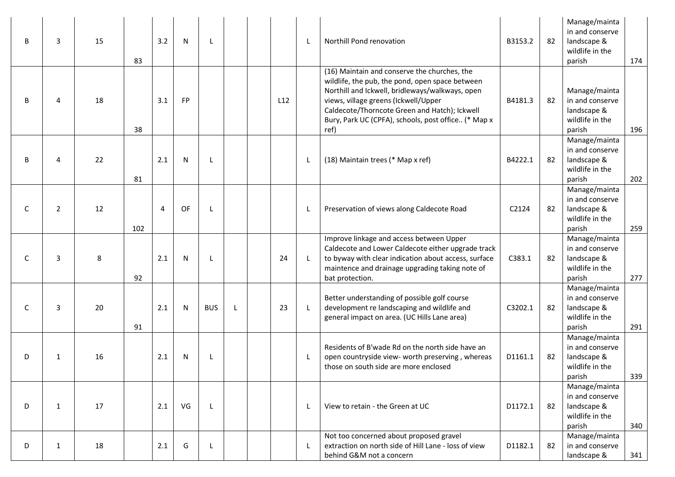| B | 3              | 15 | 83  | 3.2 | $\mathsf{N}$ | L            |              |     |   | Northill Pond renovation                                                                                                                                                                                                                                                                                   | B3153.2 | 82 | Manage/mainta<br>in and conserve<br>landscape &<br>wildlife in the<br>parish | 174 |
|---|----------------|----|-----|-----|--------------|--------------|--------------|-----|---|------------------------------------------------------------------------------------------------------------------------------------------------------------------------------------------------------------------------------------------------------------------------------------------------------------|---------|----|------------------------------------------------------------------------------|-----|
| B | 4              | 18 | 38  | 3.1 | FP           |              |              | L12 |   | (16) Maintain and conserve the churches, the<br>wildlife, the pub, the pond, open space between<br>Northill and Ickwell, bridleways/walkways, open<br>views, village greens (Ickwell/Upper<br>Caldecote/Thorncote Green and Hatch); Ickwell<br>Bury, Park UC (CPFA), schools, post office (* Map x<br>ref) | B4181.3 | 82 | Manage/mainta<br>in and conserve<br>landscape &<br>wildlife in the<br>parish | 196 |
| B | 4              | 22 | 81  | 2.1 | N            | L            |              |     |   | (18) Maintain trees (* Map x ref)                                                                                                                                                                                                                                                                          | B4222.1 | 82 | Manage/mainta<br>in and conserve<br>landscape &<br>wildlife in the<br>parish | 202 |
| C | $\overline{2}$ | 12 | 102 | 4   | OF           | L            |              |     |   | Preservation of views along Caldecote Road                                                                                                                                                                                                                                                                 | C2124   | 82 | Manage/mainta<br>in and conserve<br>landscape &<br>wildlife in the<br>parish | 259 |
| C | 3              | 8  | 92  | 2.1 | N            | L            |              | 24  | L | Improve linkage and access between Upper<br>Caldecote and Lower Caldecote either upgrade track<br>to byway with clear indication about access, surface<br>maintence and drainage upgrading taking note of<br>bat protection.                                                                               | C383.1  | 82 | Manage/mainta<br>in and conserve<br>landscape &<br>wildlife in the<br>parish | 277 |
| C | 3              | 20 | 91  | 2.1 | $\mathsf{N}$ | <b>BUS</b>   | $\mathsf{L}$ | 23  |   | Better understanding of possible golf course<br>development re landscaping and wildlife and<br>general impact on area. (UC Hills Lane area)                                                                                                                                                                | C3202.1 | 82 | Manage/mainta<br>in and conserve<br>landscape &<br>wildlife in the<br>parish | 291 |
| D | $\mathbf{1}$   | 16 |     | 2.1 | N            | L            |              |     |   | Residents of B'wade Rd on the north side have an<br>open countryside view- worth preserving, whereas<br>those on south side are more enclosed                                                                                                                                                              | D1161.1 | 82 | Manage/mainta<br>in and conserve<br>landscape &<br>wildlife in the<br>parish | 339 |
| D | $\mathbf{1}$   | 17 |     | 2.1 | VG           | $\mathsf{L}$ |              |     |   | View to retain - the Green at UC                                                                                                                                                                                                                                                                           | D1172.1 | 82 | Manage/mainta<br>in and conserve<br>landscape &<br>wildlife in the<br>parish | 340 |
| D | $\mathbf{1}$   | 18 |     | 2.1 | G            | L            |              |     |   | Not too concerned about proposed gravel<br>extraction on north side of Hill Lane - loss of view<br>behind G&M not a concern                                                                                                                                                                                | D1182.1 | 82 | Manage/mainta<br>in and conserve<br>landscape &                              | 341 |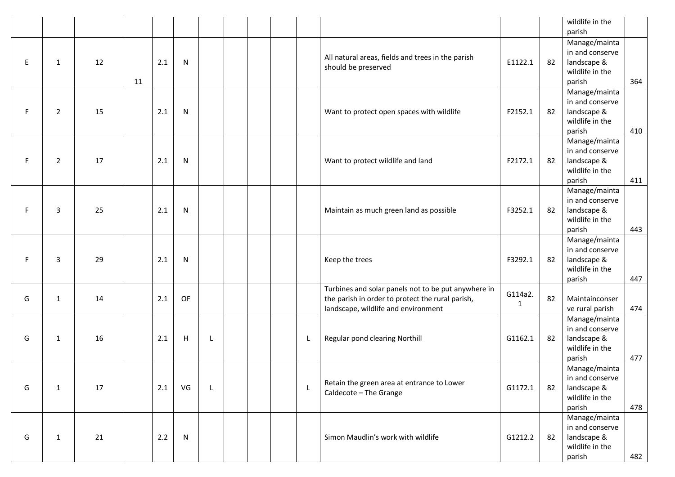|    |                |    |    |     |              |              |  |   |                                                                                                                                                |              |    | wildlife in the<br>parish                                                    |     |
|----|----------------|----|----|-----|--------------|--------------|--|---|------------------------------------------------------------------------------------------------------------------------------------------------|--------------|----|------------------------------------------------------------------------------|-----|
| E. | 1              | 12 | 11 | 2.1 | N            |              |  |   | All natural areas, fields and trees in the parish<br>should be preserved                                                                       | E1122.1      | 82 | Manage/mainta<br>in and conserve<br>landscape &<br>wildlife in the<br>parish | 364 |
| F. | 2              | 15 |    | 2.1 | N            |              |  |   | Want to protect open spaces with wildlife                                                                                                      | F2152.1      | 82 | Manage/mainta<br>in and conserve<br>landscape &<br>wildlife in the<br>parish | 410 |
| F. | $\overline{2}$ | 17 |    | 2.1 | N            |              |  |   | Want to protect wildlife and land                                                                                                              | F2172.1      | 82 | Manage/mainta<br>in and conserve<br>landscape &<br>wildlife in the<br>parish | 411 |
| F. | $\overline{3}$ | 25 |    | 2.1 | N            |              |  |   | Maintain as much green land as possible                                                                                                        | F3252.1      | 82 | Manage/mainta<br>in and conserve<br>landscape &<br>wildlife in the<br>parish | 443 |
| F  | 3              | 29 |    | 2.1 | N            |              |  |   | Keep the trees                                                                                                                                 | F3292.1      | 82 | Manage/mainta<br>in and conserve<br>landscape &<br>wildlife in the<br>parish | 447 |
| G  | 1              | 14 |    | 2.1 | OF           |              |  |   | Turbines and solar panels not to be put anywhere in<br>the parish in order to protect the rural parish,<br>landscape, wildlife and environment | G114a2.<br>1 | 82 | Maintainconser<br>ve rural parish                                            | 474 |
| G  | 1              | 16 |    | 2.1 | H            | L            |  | L | Regular pond clearing Northill                                                                                                                 | G1162.1      | 82 | Manage/mainta<br>in and conserve<br>landscape &<br>wildlife in the<br>parish | 477 |
| G  | $\mathbf{1}$   | 17 |    | 2.1 | VG           | $\mathsf{L}$ |  | L | Retain the green area at entrance to Lower<br>Caldecote - The Grange                                                                           | G1172.1      | 82 | Manage/mainta<br>in and conserve<br>landscape &<br>wildlife in the<br>parish | 478 |
| G  | 1              | 21 |    | 2.2 | $\mathsf{N}$ |              |  |   | Simon Maudlin's work with wildlife                                                                                                             | G1212.2      | 82 | Manage/mainta<br>in and conserve<br>landscape &<br>wildlife in the<br>parish | 482 |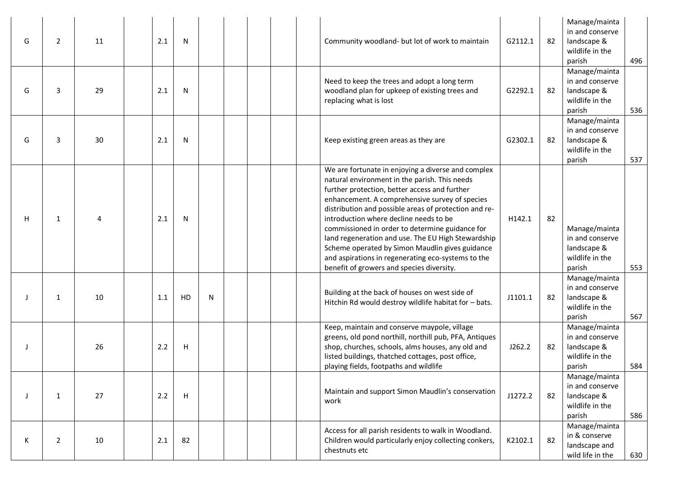| G  | $\overline{2}$ | 11 | 2.1 | N  |   | Community woodland- but lot of work to maintain                                                                                                                                                                                                                                                                                                                                                                                                                                                                                                                          | G2112.1 | 82 | Manage/mainta<br>in and conserve<br>landscape &<br>wildlife in the<br>parish | 496 |
|----|----------------|----|-----|----|---|--------------------------------------------------------------------------------------------------------------------------------------------------------------------------------------------------------------------------------------------------------------------------------------------------------------------------------------------------------------------------------------------------------------------------------------------------------------------------------------------------------------------------------------------------------------------------|---------|----|------------------------------------------------------------------------------|-----|
| G  | 3              | 29 | 2.1 | N  |   | Need to keep the trees and adopt a long term<br>woodland plan for upkeep of existing trees and<br>replacing what is lost                                                                                                                                                                                                                                                                                                                                                                                                                                                 | G2292.1 | 82 | Manage/mainta<br>in and conserve<br>landscape &<br>wildlife in the<br>parish | 536 |
| G  | 3              | 30 | 2.1 | N  |   | Keep existing green areas as they are                                                                                                                                                                                                                                                                                                                                                                                                                                                                                                                                    | G2302.1 | 82 | Manage/mainta<br>in and conserve<br>landscape &<br>wildlife in the<br>parish | 537 |
| H  | 1              | 4  | 2.1 | N  |   | We are fortunate in enjoying a diverse and complex<br>natural environment in the parish. This needs<br>further protection, better access and further<br>enhancement. A comprehensive survey of species<br>distribution and possible areas of protection and re-<br>introduction where decline needs to be<br>commissioned in order to determine guidance for<br>land regeneration and use. The EU High Stewardship<br>Scheme operated by Simon Maudlin gives guidance<br>and aspirations in regenerating eco-systems to the<br>benefit of growers and species diversity. | H142.1  | 82 | Manage/mainta<br>in and conserve<br>landscape &<br>wildlife in the<br>parish | 553 |
|    | 1              | 10 | 1.1 | HD | N | Building at the back of houses on west side of<br>Hitchin Rd would destroy wildlife habitat for - bats.                                                                                                                                                                                                                                                                                                                                                                                                                                                                  | J1101.1 | 82 | Manage/mainta<br>in and conserve<br>landscape &<br>wildlife in the<br>parish | 567 |
|    |                | 26 | 2.2 | H  |   | Keep, maintain and conserve maypole, village<br>greens, old pond northill, northill pub, PFA, Antiques<br>shop, churches, schools, alms houses, any old and<br>listed buildings, thatched cottages, post office,<br>playing fields, footpaths and wildlife                                                                                                                                                                                                                                                                                                               | J262.2  | 82 | Manage/mainta<br>in and conserve<br>landscape &<br>wildlife in the<br>parish | 584 |
| -1 | 1              | 27 | 2.2 | H  |   | Maintain and support Simon Maudlin's conservation<br>work                                                                                                                                                                                                                                                                                                                                                                                                                                                                                                                | J1272.2 | 82 | Manage/mainta<br>in and conserve<br>landscape &<br>wildlife in the<br>parish | 586 |
| К  | 2              | 10 | 2.1 | 82 |   | Access for all parish residents to walk in Woodland.<br>Children would particularly enjoy collecting conkers,<br>chestnuts etc                                                                                                                                                                                                                                                                                                                                                                                                                                           | K2102.1 | 82 | Manage/mainta<br>in & conserve<br>landscape and<br>wild life in the          | 630 |